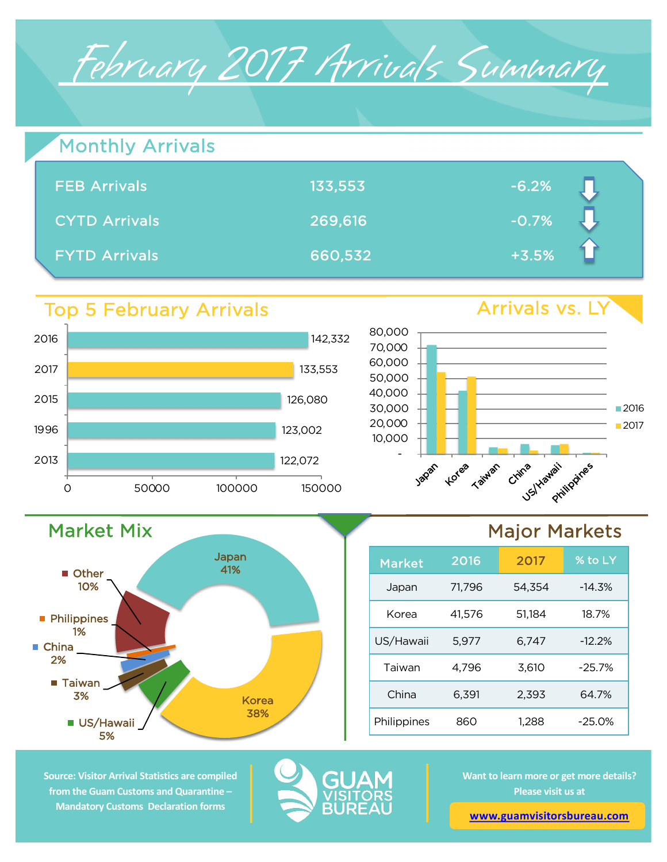# February 2017 Arrivals Summary

| Monthly Arrivals     |         |         |  |
|----------------------|---------|---------|--|
| <b>FEB Arrivals</b>  | 133,553 | $-6.2%$ |  |
| <b>CYTD Arrivals</b> | 269,616 | $-0.7%$ |  |
| <b>FYTD Arrivals</b> | 660,532 | $+3.5%$ |  |

### Top 5 February Arrivals



Japan 41%

Korea



## Major Markets

| <b>Market</b> | 2016   | 2017   | % to LY   |
|---------------|--------|--------|-----------|
| Japan         | 71,796 | 54,354 | $-14.3%$  |
| Korea         | 41,576 | 51.184 | 18.7%     |
| US/Hawaii     | 5,977  | 6,747  | $-12.2%$  |
| Taiwan        | 4,796  | 3,610  | $-25.7%$  |
| China         | 6,391  | 2.393  | 64.7%     |
| Philippines   | 860    | 1,288  | $-25.0\%$ |

**Source: Visitor Arrival Statistics are compiled from the Guam Customs and Quarantine – Mandatory Customs Declaration forms** 

5%

■ Taiwan 3%

**Philippines** 1%

**Other** 10%

■ China 2%

■ US/Hawaii / <sub>38%</sub>

Market Mix



**Want to learn more or get more details? Please visit us at** 

**www.guamvisitorsbureau.com**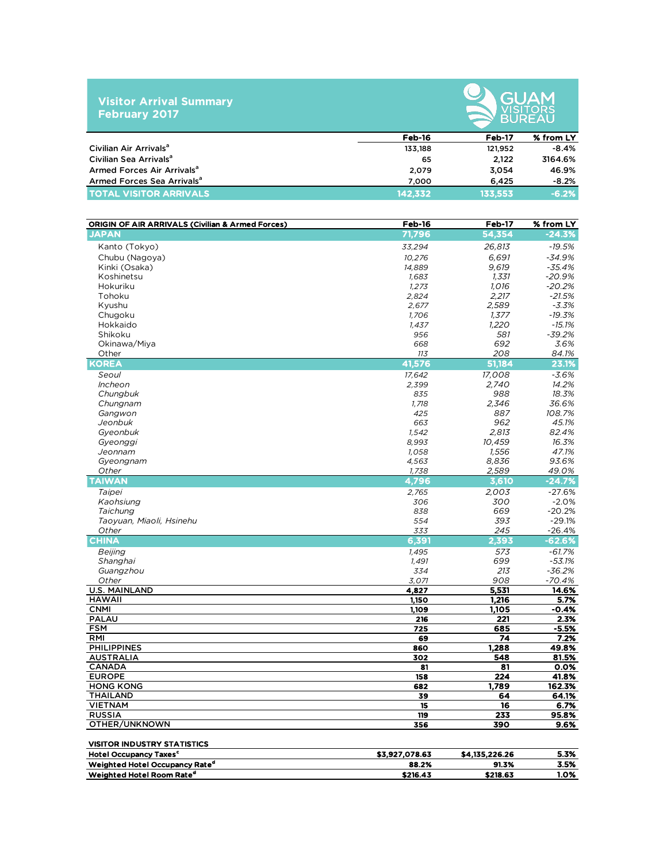#### **Visitor Arrival Summary February 2017**



|                                        | Feb-16  | Feb-17  | % from LY |
|----------------------------------------|---------|---------|-----------|
| Civilian Air Arrivals <sup>a</sup>     | 133.188 | 121.952 | $-8.4%$   |
| Civilian Sea Arrivals <sup>a</sup>     | 65      | 2.122   | 3164.6%   |
| Armed Forces Air Arrivals <sup>a</sup> | 2.079   | 3.054   | 46.9%     |
| Armed Forces Sea Arrivals <sup>a</sup> | 7.000   | 6.425   | $-8.2%$   |
| <b>TOTAL VISITOR ARRIVALS</b>          | 142.332 | 133.553 | $-6.2%$   |

| <b>ORIGIN OF AIR ARRIVALS (Civilian &amp; Armed Forces)</b> | Feb-16         | Feb-17         | % from LY |
|-------------------------------------------------------------|----------------|----------------|-----------|
| <b>JAPAN</b>                                                | 71,796         | 54,354         | $-24.3%$  |
| Kanto (Tokyo)                                               | 33,294         | 26,813         | $-19.5%$  |
| Chubu (Nagoya)                                              | 10,276         | 6,691          | $-34.9%$  |
| Kinki (Osaka)                                               | 14,889         | 9,619          | $-35.4%$  |
| Koshinetsu                                                  | 1,683          | 1,331          | $-20.9%$  |
| Hokuriku                                                    | 1,273          | 1,016          | $-20.2%$  |
| Tohoku                                                      | 2,824          | 2,217          | $-21.5%$  |
| Kyushu                                                      | 2,677          | 2,589          | $-3.3%$   |
| Chugoku                                                     | 1,706          | 1,377          | $-19.3%$  |
| Hokkaido                                                    | 1,437          | 1,220          | $-15.1%$  |
| Shikoku                                                     | 956            | 581            | $-39.2%$  |
| Okinawa/Miya                                                | 668            | 692            | 3.6%      |
| Other                                                       | 113            | 208            | 84.1%     |
| <b>KOREA</b>                                                | 41,576         | 51,184         | 23.1%     |
| Seoul                                                       | 17,642         | 17,008         | $-3.6%$   |
| Incheon                                                     | 2,399          | 2,740          | 14.2%     |
| Chungbuk                                                    | 835            | 988            | 18.3%     |
| Chungnam                                                    | 1,718          | 2,346          | 36.6%     |
| Gangwon                                                     | 425            | 887            | 108.7%    |
| Jeonbuk                                                     | 663            | 962            | 45.1%     |
| Gveonbuk                                                    | 1,542          | 2.813          | 82.4%     |
| Gyeonggi                                                    | 8.993          | 10,459         | 16.3%     |
| Jeonnam                                                     | 1,058          | 1,556          | 47.1%     |
| Gyeongnam                                                   | 4,563          | 8,836          | 93.6%     |
| Other                                                       | 1,738          | 2,589          | 49.0%     |
| <b>TAIWAN</b>                                               | 4,796          | 3,610          | $-24.7%$  |
| Taipei                                                      | 2,765          | 2,003          | $-27.6%$  |
| Kaohsiung                                                   | 306            | 300            | $-2.0%$   |
| Taichung                                                    | 838            | 669            | $-20.2%$  |
| Taoyuan, Miaoli, Hsinehu                                    | 554            | 393            | $-29.1%$  |
| Other                                                       | 333            | 245            | $-26.4%$  |
| <b>CHINA</b>                                                | 6,391          | 2,393          | -62.6%    |
| Beijing                                                     | 1,495          | 573            | $-61.7%$  |
| Shanghai                                                    | 1,491          | 699            | $-53.1%$  |
| Guangzhou                                                   | 334            | 213            | $-36.2%$  |
| Other                                                       | 3,071          | 908            | $-70.4%$  |
| <b>U.S. MAINLAND</b>                                        | 4,827          | 5,531          | 14.6%     |
| <b>HAWAII</b>                                               | 1,150          | 1,216          | 5.7%      |
| <b>CNMI</b>                                                 | 1,109          | 1,105          | -0.4%     |
| <b>PALAU</b>                                                | 216            | 221            | 2.3%      |
| <b>FSM</b>                                                  | 725            | 685            | $-5.5%$   |
| RMI                                                         | 69             | 74             | 7.2%      |
| <b>PHILIPPINES</b>                                          | 860            | 1,288          | 49.8%     |
| <b>AUSTRALIA</b>                                            | 302            | 548            | 81.5%     |
| <b>CANADA</b>                                               | 81             | 81             | 0.0%      |
| <b>EUROPE</b>                                               | 158            | 224            | 41.8%     |
| <b>HONG KONG</b>                                            | 682            | 1,789          | 162.3%    |
| <b>THAILAND</b>                                             | 39             | 64             | 64.1%     |
| <b>VIETNAM</b>                                              | 15             | 16             | 6.7%      |
| <b>RUSSIA</b>                                               | 119            | 233            | 95.8%     |
| OTHER/UNKNOWN                                               | 356            | 390            | 9.6%      |
|                                                             |                |                |           |
| <b>VISITOR INDUSTRY STATISTICS</b>                          |                |                |           |
| <b>Hotel Occupancy Taxes<sup>c</sup></b>                    | \$3,927,078.63 | \$4,135,226.26 | 5.3%      |
| Weighted Hotel Occupancy Rate <sup>d</sup>                  | 88.2%          | 91.3%          | 3.5%      |
| Weighted Hotel Room Rate <sup>d</sup>                       | \$216.43       | \$218.63       | 1.0%      |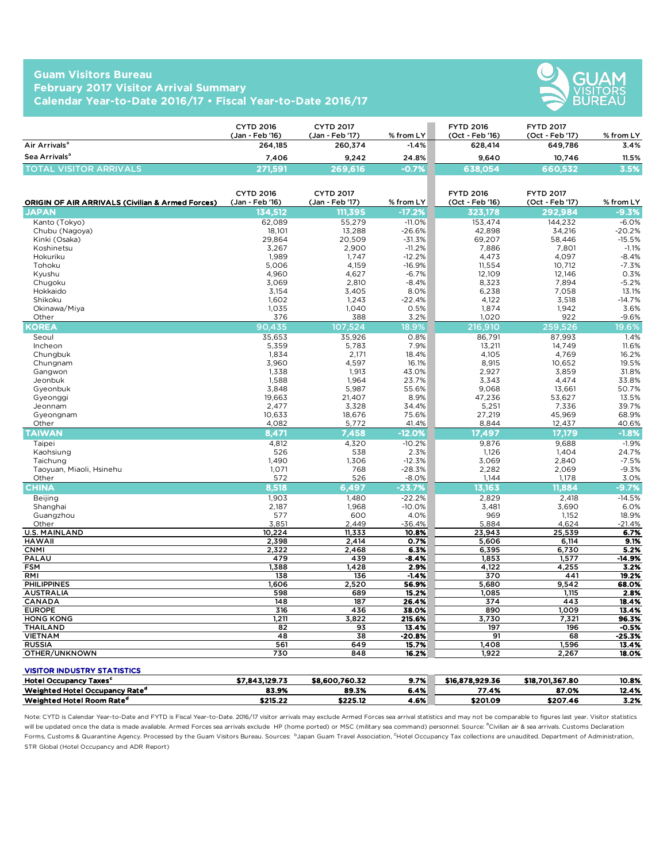#### **Guam Visitors Bureau February 2017 Visitor Arrival Summary Calendar Year-to-Date 2016/17 • Fiscal Year-to-Date 2016/17**



|                               | <b>CYTD 2016</b><br>(Jan - Feb '16) | <b>CYTD 2017</b><br>(Jan - Feb '17) | $%$ from LY | <b>FYTD 2016</b><br>(Oct - Feb '16) | <b>FYTD 2017</b><br>(Oct - Feb '17) | $%$ from LY |
|-------------------------------|-------------------------------------|-------------------------------------|-------------|-------------------------------------|-------------------------------------|-------------|
| Air Arrivals <sup>a</sup>     | 264,185                             | 260.374                             | $-1.4%$     | 628.414                             | 649.786                             | 3.4%        |
| Sea Arrivals <sup>a</sup>     | 7.406                               | 9.242                               | 24.8%       | 9.640                               | 10.746                              | 11.5%       |
| <b>TOTAL VISITOR ARRIVALS</b> | 271,591                             | 269,616                             | -0.7%       | 638,054                             | 660,532                             | 3.5%        |

| ORIGIN OF AIR ARRIVALS (Civilian & Armed Forces) | <b>CYTD 2016</b><br>(Jan - Feb '16) | <b>CYTD 2017</b><br>(Jan - Feb '17) | % from LY    | <b>FYTD 2016</b><br>(Oct - Feb '16) | <b>FYTD 2017</b><br>(Oct - Feb '17) | % from LY    |
|--------------------------------------------------|-------------------------------------|-------------------------------------|--------------|-------------------------------------|-------------------------------------|--------------|
| JAPAN                                            | 134.512                             | 111,395                             | $-17.2%$     | 323.178                             | 292.984                             | $-9.3%$      |
| Kanto (Tokyo)                                    | 62.089                              | 55,279                              | $-11.0%$     | 153,474                             | 144,232                             | $-6.0%$      |
| Chubu (Nagoya)                                   | 18,101                              | 13,288                              | $-26.6%$     | 42,898                              | 34,216                              | $-20.2%$     |
| Kinki (Osaka)                                    | 29.864                              | 20,509                              | $-31.3%$     | 69,207                              | 58.446                              | $-15.5%$     |
| Koshinetsu                                       | 3,267                               | 2,900                               | $-11.2%$     | 7,886                               | 7,801                               | $-1.1%$      |
| Hokuriku                                         | 1,989                               | 1,747                               | $-12.2%$     | 4,473                               | 4,097                               | $-8.4%$      |
| Tohoku                                           | 5,006                               | 4,159                               | $-16.9%$     | 11,554                              | 10,712                              | $-7.3%$      |
| Kyushu                                           | 4,960                               | 4,627                               | $-6.7%$      | 12,109                              | 12,146                              | 0.3%         |
| Chugoku                                          | 3,069                               | 2,810                               | $-8.4%$      | 8,323                               | 7,894                               | $-5.2%$      |
| Hokkaido                                         | 3,154                               | 3,405                               | 8.0%         | 6,238                               | 7,058                               | 13.1%        |
| Shikoku                                          | 1,602                               | 1,243                               | $-22.4%$     | 4,122                               | 3,518                               | $-14.7%$     |
| Okinawa/Miya                                     | 1,035                               | 1,040                               | 0.5%         | 1,874                               | 1,942                               | 3.6%         |
| Other                                            | 376                                 | 388                                 | 3.2%         | 1,020                               | 922                                 | $-9.6%$      |
| KOREA                                            | 90,435                              | 107,524                             | $18.9\%$     | 216,910                             | 259,526                             | 19.6%        |
| Seoul                                            | 35,653                              | 35,926                              | 0.8%         | 86,791                              | 87,993                              | 1.4%         |
| Incheon                                          | 5.359                               | 5.783                               | 7.9%         | 13.211                              | 14.749                              | 11.6%        |
| Chungbuk                                         | 1,834                               | 2,171                               | 18.4%        | 4,105                               | 4,769                               | 16.2%        |
| Chungnam                                         | 3,960                               | 4,597                               | 16.1%        | 8,915                               | 10,652                              | 19.5%        |
| Gangwon                                          | 1,338                               | 1,913                               | 43.0%        | 2,927                               | 3,859                               | 31.8%        |
| Jeonbuk                                          | 1,588                               | 1,964                               | 23.7%        | 3,343                               | 4,474                               | 33.8%        |
| Gyeonbuk                                         | 3.848                               | 5,987                               | 55.6%        | 9,068                               | 13,661                              | 50.7%        |
| Gyeonggi                                         | 19,663                              | 21,407                              | 8.9%         | 47,236                              | 53,627                              | 13.5%        |
| Jeonnam                                          | 2,477                               | 3,328                               | 34.4%        | 5,251                               | 7,336                               | 39.7%        |
| Gyeongnam                                        | 10,633                              | 18,676                              | 75.6%        | 27,219                              | 45,969                              | 68.9%        |
| Other                                            | 4,082                               | 5,772                               | 41.4%        | 8,844                               | 12,437                              | 40.6%        |
| <b>TAIWAN</b>                                    | 8,471                               | 7,458                               | $-12.0%$     | 17,497                              | 17,179                              | $-1.8%$      |
| Taipei                                           | 4,812                               | 4,320                               | $-10.2%$     | 9,876                               | 9,688                               | $-1.9%$      |
| Kaohsiung                                        | 526                                 | 538                                 | 2.3%         | 1,126                               | 1.404                               | 24.7%        |
| Taichung                                         | 1,490                               | 1,306                               | $-12.3%$     | 3,069                               | 2,840                               | $-7.5%$      |
| Taoyuan, Miaoli, Hsinehu                         | 1,071                               | 768                                 | $-28.3%$     | 2,282                               | 2,069                               | $-9.3%$      |
| Other                                            | 572                                 | 526                                 | $-8.0%$      | 1,144                               | 1,178                               | 3.0%         |
| <b>CHINA</b>                                     | 8,518                               | 6,497                               | $-23.7%$     | 13.163                              | 11.884                              | $-9.7%$      |
| Beijing                                          | 1,903                               | 1,480                               | $-22.2%$     | 2,829                               | 2,418                               | $-14.5%$     |
| Shanghai                                         | 2,187                               | 1,968                               | $-10.0%$     | 3,481                               | 3,690                               | 6.0%         |
| Guangzhou                                        | 577                                 | 600                                 | 4.0%         | 969                                 | 1,152                               | 18.9%        |
| Other                                            | 3,851                               | 2,449                               | $-36.4%$     | 5,884                               | 4,624                               | $-21.4%$     |
| <b>U.S. MAINLAND</b><br><b>HAWAII</b>            | 10,224                              | 11,333                              | 10.8%        | 23,943                              | 25,539                              | 6.7%         |
| <b>CNMI</b>                                      | 2,398<br>2,322                      | 2,414<br>2,468                      | 0.7%<br>6.3% | 5,606<br>6,395                      | 6,114<br>6,730                      | 9.1%<br>5.2% |
| PALAU                                            | 479                                 | 439                                 | -8.4%        | 1,853                               | 1,577                               | -14.9%       |
| <b>FSM</b>                                       | 1,388                               | 1,428                               | 2.9%         | 4,122                               | 4,255                               | 3.2%         |
| RMI                                              | 138                                 | 136                                 | $-1.4%$      | 370                                 | 441                                 | 19.2%        |
| <b>PHILIPPINES</b>                               | 1,606                               | 2,520                               | 56.9%        | 5,680                               | 9,542                               | 68.0%        |
| <b>AUSTRALIA</b>                                 | 598                                 | 689                                 | 15.2%        | 1,085                               | 1,115                               | 2.8%         |
| CANADA                                           | 148                                 | 187                                 | 26.4%        | 374                                 | 443                                 | 18.4%        |
| <b>EUROPE</b>                                    | 316                                 | 436                                 | 38.0%        | 890                                 | 1,009                               | 13.4%        |
| <b>HONG KONG</b>                                 | 1,211                               | 3,822                               | 215.6%       | 3,730                               | 7,321                               | 96.3%        |
| <b>THAILAND</b>                                  | 82                                  | 93                                  | 13.4%        | 197                                 | 196                                 | $-0.5%$      |
| <b>VIETNAM</b>                                   | 48                                  | 38                                  | $-20.8%$     | 91                                  | 68                                  | $-25.3%$     |
| <b>RUSSIA</b>                                    | 561                                 | 649                                 | 15.7%        | 1,408                               | 1,596                               | 13.4%        |
| OTHER/UNKNOWN                                    | 730                                 | 848                                 | 16.2%        | 1.922                               | 2,267                               | 18.0%        |
| <b>VISITOR INDUSTRY STATISTICS</b>               |                                     |                                     |              |                                     |                                     |              |
| <b>Hotel Occupancy Taxes<sup>c</sup></b>         | \$7,843,129.73                      | \$8,600,760.32                      | 9.7%         | \$16,878,929.36                     | \$18,701,367.80                     | 10.8%        |

| <b>Hotel Occupancy</b><br>v Taxes'         | \$7.843.129.73 | \$8,600,760.32 | 9.7% | \$16,878,929,36 | \$18,701,367.80 | 10.8% |
|--------------------------------------------|----------------|----------------|------|-----------------|-----------------|-------|
| Weighted Hotel Occupancy Rate <sup>d</sup> | 83.9%          | 89.3%          | 6.4% | --<br>.1.4%     | 87.0%           | 12.4% |
| Weighted Hotel Room Rate <sup>d</sup>      | \$215.22       | \$225.12       | 4.6% | \$201.09        | \$207.46        | 3.2%  |

Note: CYTD is Calendar Year-to-Date and FYTD is Fiscal Year-to-Date. 2016/17 visitor arrivals may exclude Armed Forces sea arrival statistics and may not be comparable to figures last year. Visitor statistics will be updated once the data is made available. Armed Forces sea arrivals exclude HP (home ported) or MSC (military sea command) personnel. Source: <sup>a</sup>Civilian air & sea arrivals. Customs Declaration Forms, Customs & Quarantine Agency. Processed by the Guam Visitors Bureau. Sources: 『Japan Guam Travel Association, <sup>c</sup>Hotel Occupancy Tax collections are unaudited. Department of Administration, STR Global (Hotel Occupancy and ADR Report)